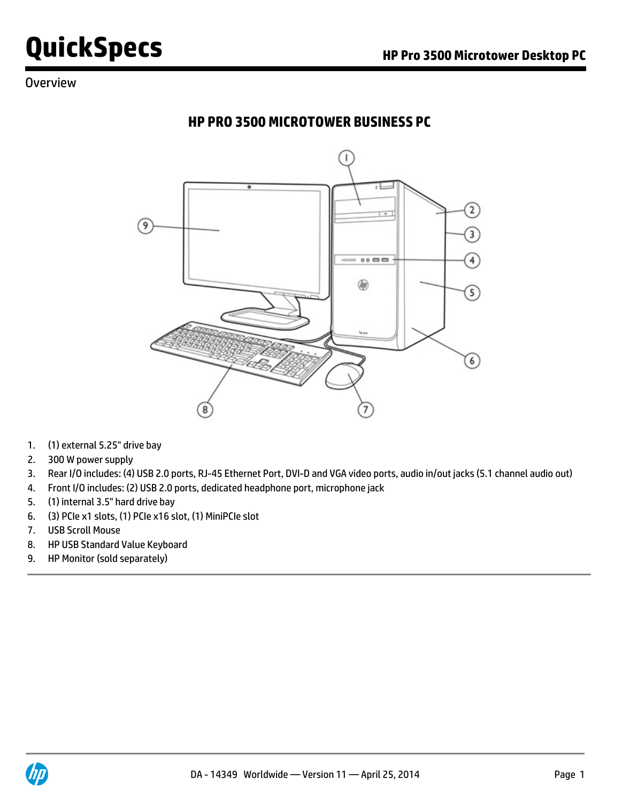## **Overview**

## **HP PRO 3500 MICROTOWER BUSINESS PC**



- 1. (1) external 5.25" drive bay
- 2. 300 W power supply
- 3. Rear I/O includes: (4) USB 2.0 ports, RJ-45 Ethernet Port, DVI-D and VGA video ports, audio in/out jacks (5.1 channel audio out)
- 4. Front I/O includes: (2) USB 2.0 ports, dedicated headphone port, microphone jack
- 5. (1) internal 3.5" hard drive bay
- 6. (3) PCIe x1 slots, (1) PCIe x16 slot, (1) MiniPCIe slot
- 7. USB Scroll Mouse
- 8. HP USB Standard Value Keyboard
- 9. HP Monitor (sold separately)

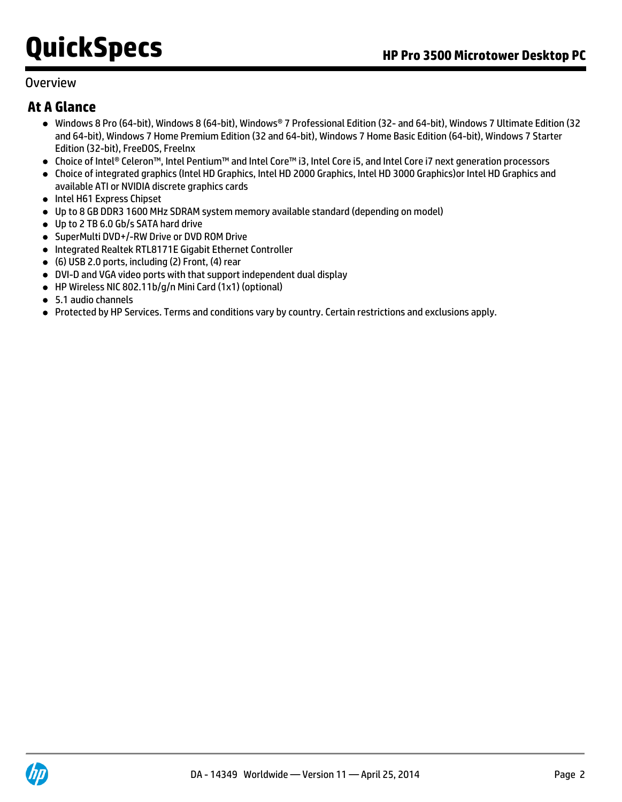## **Overview**

## **At A Glance**

- Windows 8 Pro (64-bit), Windows 8 (64-bit), Windows® 7 Professional Edition (32- and 64-bit), Windows 7 Ultimate Edition (32 and 64-bit), Windows 7 Home Premium Edition (32 and 64-bit), Windows 7 Home Basic Edition (64-bit), Windows 7 Starter Edition (32-bit), FreeDOS, Freelnx
- Choice of Intel® Celeron™, Intel Pentium™ and Intel Core™ i3, Intel Core i5, and Intel Core i7 next generation processors
- Choice of integrated graphics (Intel HD Graphics, Intel HD 2000 Graphics, Intel HD 3000 Graphics)or Intel HD Graphics and available ATI or NVIDIA discrete graphics cards
- Intel H61 Express Chipset
- Up to 8 GB DDR3 1600 MHz SDRAM system memory available standard (depending on model)
- Up to 2 TB 6.0 Gb/s SATA hard drive
- SuperMulti DVD+/-RW Drive or DVD ROM Drive
- Integrated Realtek RTL8171E Gigabit Ethernet Controller
- (6) USB 2.0 ports, including (2) Front, (4) rear
- DVI-D and VGA video ports with that support independent dual display
- HP Wireless NIC 802.11b/g/n Mini Card (1x1) (optional)
- 5.1 audio channels
- Protected by HP Services. Terms and conditions vary by country. Certain restrictions and exclusions apply.

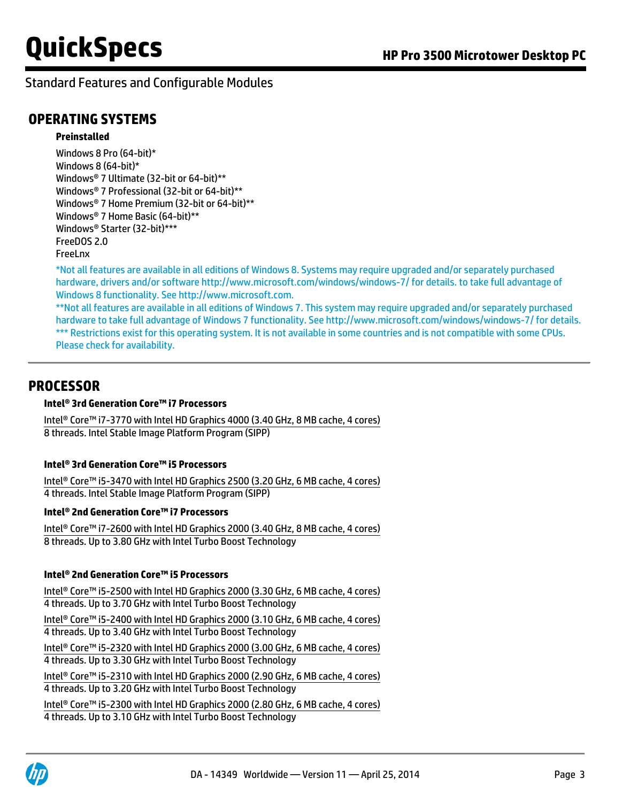## **OPERATING SYSTEMS**

#### **Preinstalled**

Windows 8 Pro (64-bit)\* Windows 8 (64-bit)\* Windows® 7 Ultimate (32-bit or 64-bit)\*\* Windows® 7 Professional (32-bit or 64-bit)\*\* Windows® 7 Home Premium (32-bit or 64-bit)\*\* Windows® 7 Home Basic (64-bit)\*\* Windows® Starter (32-bit)\*\*\* FreeDOS 2.0 FreeLnx

\*Not all features are available in all editions of Windows 8. Systems may require upgraded and/or separately purchased hardware, drivers and/or software<http://www.microsoft.com/windows/windows-7/> for details. to take full advantage of Windows 8 functionality. See [http://www.microsoft.com.](http://www.microsoft.com)

\*\*Not all features are available in all editions of Windows 7. This system may require upgraded and/or separately purchased hardware to take full advantage of Windows 7 functionality. See<http://www.microsoft.com/windows/windows-7/> for details. \*\*\* Restrictions exist for this operating system. It is not available in some countries and is not compatible with some CPUs. Please check for availability.

## **PROCESSOR**

#### **Intel® 3rd Generation Core™ i7 Processors**

Intel® Core™ i7-3770 with Intel HD Graphics 4000 (3.40 GHz, 8 MB cache, 4 cores) 8 threads. Intel Stable Image Platform Program (SIPP)

#### **Intel® 3rd Generation Core™ i5 Processors**

Intel® Core™ i5-3470 with Intel HD Graphics 2500 (3.20 GHz, 6 MB cache, 4 cores) 4 threads. Intel Stable Image Platform Program (SIPP)

#### **Intel® 2nd Generation Core™ i7 Processors**

Intel® Core™ i7-2600 with Intel HD Graphics 2000 (3.40 GHz, 8 MB cache, 4 cores) 8 threads. Up to 3.80 GHz with Intel Turbo Boost Technology

#### **Intel® 2nd Generation Core™ i5 Processors**

| Intel® Core™ i5-2500 with Intel HD Graphics 2000 (3.30 GHz, 6 MB cache, 4 cores) |
|----------------------------------------------------------------------------------|
| 4 threads. Up to 3.70 GHz with Intel Turbo Boost Technology                      |
| Intel® Core™ i5-2400 with Intel HD Graphics 2000 (3.10 GHz, 6 MB cache, 4 cores) |
| 4 threads. Up to 3.40 GHz with Intel Turbo Boost Technology                      |
| Intel® Core™ i5-2320 with Intel HD Graphics 2000 (3.00 GHz, 6 MB cache, 4 cores) |
| 4 threads. Up to 3.30 GHz with Intel Turbo Boost Technology                      |
| Intel® Core™ i5-2310 with Intel HD Graphics 2000 (2.90 GHz, 6 MB cache, 4 cores) |
| 4 threads. Up to 3.20 GHz with Intel Turbo Boost Technology                      |
| Intel® Core™ i5-2300 with Intel HD Graphics 2000 (2.80 GHz, 6 MB cache, 4 cores) |
| 4 threads. Up to 3.10 GHz with Intel Turbo Boost Technology                      |

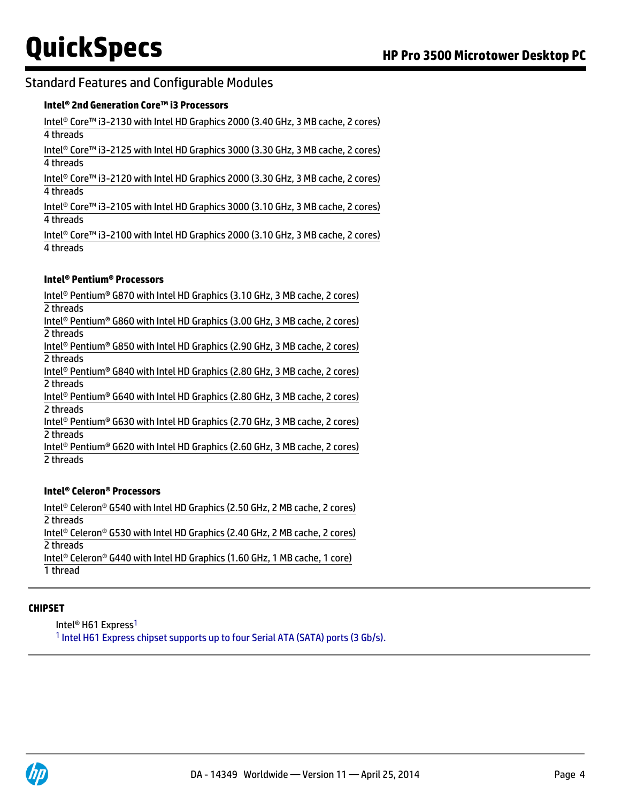#### **Intel® 2nd Generation Core™ i3 Processors**

Intel® Core™ i3-2130 with Intel HD Graphics 2000 (3.40 GHz, 3 MB cache, 2 cores) 4 threads

Intel® Core™ i3-2125 with Intel HD Graphics 3000 (3.30 GHz, 3 MB cache, 2 cores) 4 threads

Intel® Core™ i3-2120 with Intel HD Graphics 2000 (3.30 GHz, 3 MB cache, 2 cores) 4 threads

Intel® Core™ i3-2105 with Intel HD Graphics 3000 (3.10 GHz, 3 MB cache, 2 cores) 4 threads

Intel® Core™ i3-2100 with Intel HD Graphics 2000 (3.10 GHz, 3 MB cache, 2 cores) 4 threads

#### **Intel® Pentium® Processors**

Intel® Pentium® G870 with Intel HD Graphics (3.10 GHz, 3 MB cache, 2 cores) 2 threads Intel® Pentium® G860 with Intel HD Graphics (3.00 GHz, 3 MB cache, 2 cores) 2 threads Intel® Pentium® G850 with Intel HD Graphics (2.90 GHz, 3 MB cache, 2 cores) 2 threads Intel® Pentium® G840 with Intel HD Graphics (2.80 GHz, 3 MB cache, 2 cores) 2 threads Intel® Pentium® G640 with Intel HD Graphics (2.80 GHz, 3 MB cache, 2 cores) 2 threads Intel® Pentium® G630 with Intel HD Graphics (2.70 GHz, 3 MB cache, 2 cores) 2 threads Intel® Pentium® G620 with Intel HD Graphics (2.60 GHz, 3 MB cache, 2 cores) 2 threads

#### **Intel® Celeron® Processors**

Intel® Celeron® G540 with Intel HD Graphics (2.50 GHz, 2 MB cache, 2 cores) 2 threads Intel® Celeron® G530 with Intel HD Graphics (2.40 GHz, 2 MB cache, 2 cores) 2 threads Intel® Celeron® G440 with Intel HD Graphics (1.60 GHz, 1 MB cache, 1 core) 1 thread

#### **CHIPSET**

Intel<sup>®</sup> H61 Express<sup>1</sup>

<sup>1</sup> Intel H61 Express chipset supports up to four Serial ATA (SATA) ports (3 Gb/s).

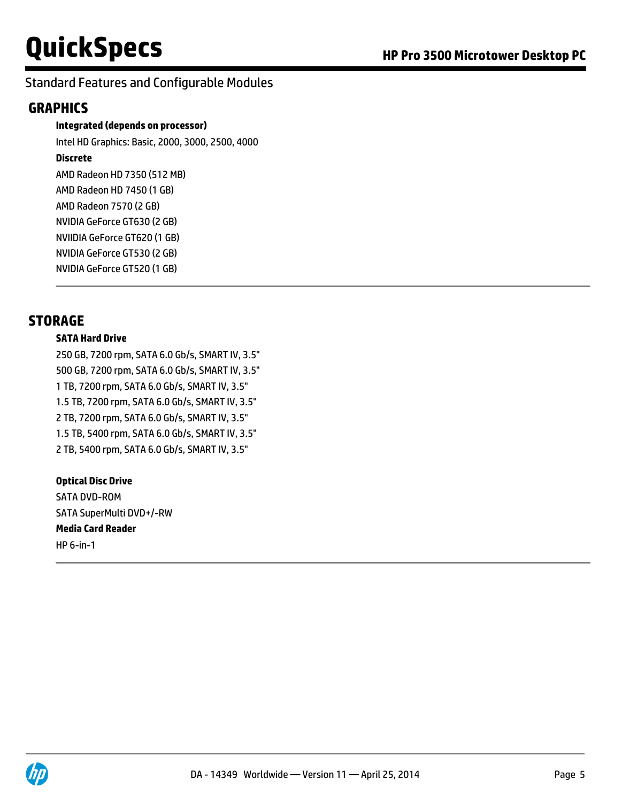## **GRAPHICS**

**Integrated (depends on processor)**

Intel HD Graphics: Basic, 2000, 3000, 2500, 4000

### **Discrete**

AMD Radeon HD 7350 (512 MB) AMD Radeon HD 7450 (1 GB) AMD Radeon 7570 (2 GB) NVIDIA GeForce GT630 (2 GB) NVIIDIA GeForce GT620 (1 GB) NVIDIA GeForce GT530 (2 GB) NVIDIA GeForce GT520 (1 GB)

## **STORAGE**

#### **SATA Hard Drive**

250 GB, 7200 rpm, SATA 6.0 Gb/s, SMART IV, 3.5" 500 GB, 7200 rpm, SATA 6.0 Gb/s, SMART IV, 3.5" 1 TB, 7200 rpm, SATA 6.0 Gb/s, SMART IV, 3.5" 1.5 TB, 7200 rpm, SATA 6.0 Gb/s, SMART IV, 3.5" 2 TB, 7200 rpm, SATA 6.0 Gb/s, SMART IV, 3.5" 1.5 TB, 5400 rpm, SATA 6.0 Gb/s, SMART IV, 3.5" 2 TB, 5400 rpm, SATA 6.0 Gb/s, SMART IV, 3.5"

#### **Optical Disc Drive**

SATA DVD-ROM SATA SuperMulti DVD+/-RW **Media Card Reader** HP 6-in-1

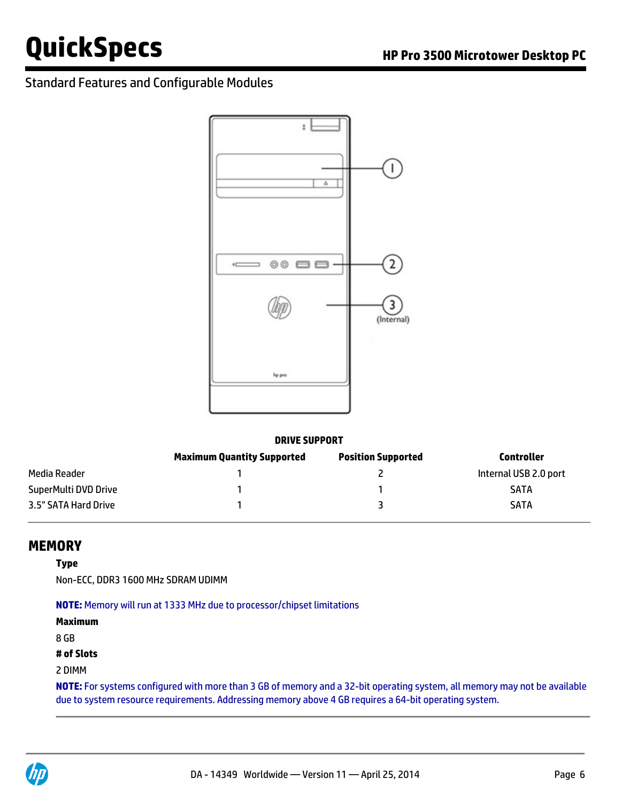

#### **DRIVE SUPPORT**

|                      | <b>Maximum Quantity Supported</b> | <b>Position Supported</b> | Controller            |
|----------------------|-----------------------------------|---------------------------|-----------------------|
| Media Reader         |                                   |                           | Internal USB 2.0 port |
| SuperMulti DVD Drive |                                   |                           | <b>SATA</b>           |
| 3.5" SATA Hard Drive |                                   |                           | <b>SATA</b>           |

### **MEMORY**

#### **Type**

Non-ECC, DDR3 1600 MHz SDRAM UDIMM

**NOTE:** Memory will run at 1333 MHz due to processor/chipset limitations

**Maximum**

8 GB

#### **# of Slots**

#### 2 DIMM

**NOTE:** For systems configured with more than 3 GB of memory and a 32-bit operating system, all memory may not be available due to system resource requirements. Addressing memory above 4 GB requires a 64-bit operating system.

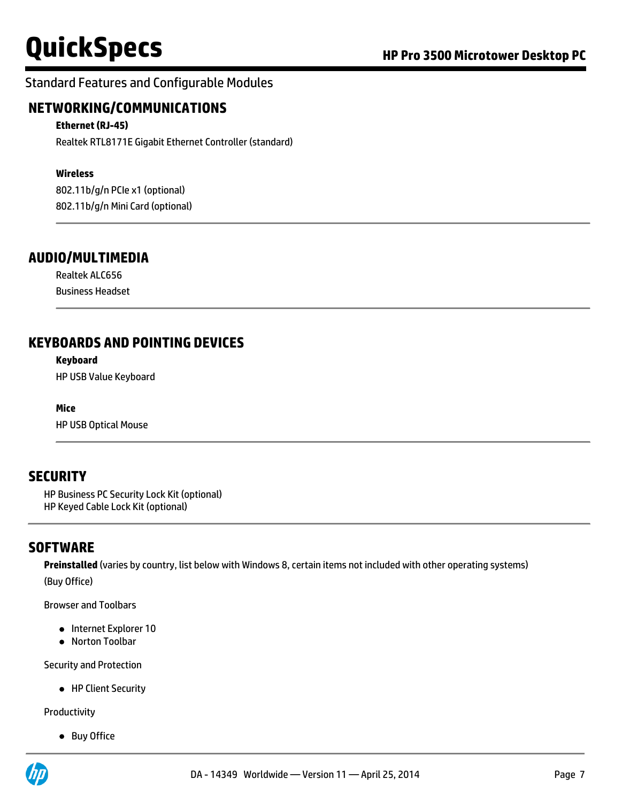## Standard Features and Configurable Modules

## **NETWORKING/COMMUNICATIONS**

#### **Ethernet (RJ-45)**

Realtek RTL8171E Gigabit Ethernet Controller (standard)

#### **Wireless**

802.11b/g/n PCIe x1 (optional) 802.11b/g/n Mini Card (optional)

## **AUDIO/MULTIMEDIA**

Realtek ALC656 Business Headset

## **KEYBOARDS AND POINTING DEVICES**

#### **Keyboard**

HP USB Value Keyboard

#### **Mice**

HP USB Optical Mouse

## **SECURITY**

HP Business PC Security Lock Kit (optional) HP Keyed Cable Lock Kit (optional)

## **SOFTWARE**

**Preinstalled** (varies by country, list below with Windows 8, certain items not included with other operating systems) (Buy Office)

Browser and Toolbars

- Internet Explorer 10
- Norton Toolbar

Security and Protection

• HP Client Security

Productivity

• Buy Office

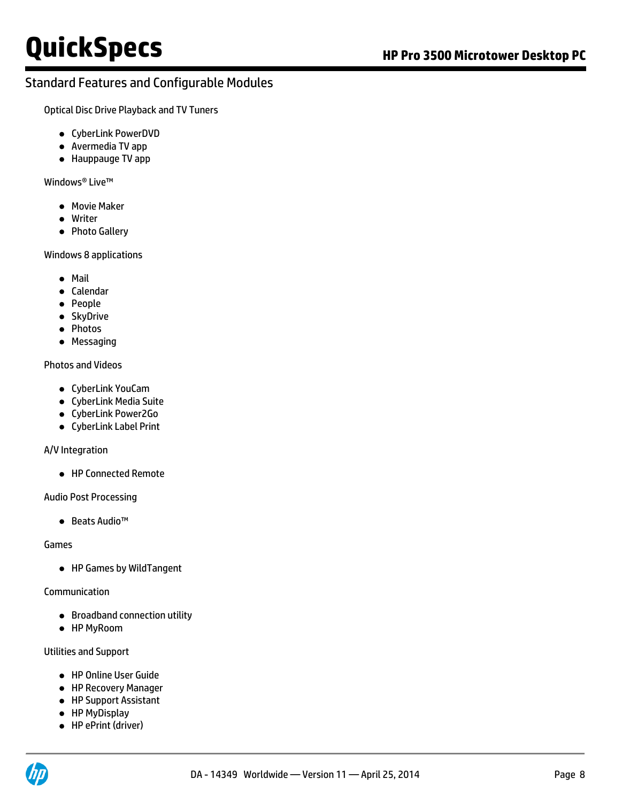Optical Disc Drive Playback and TV Tuners

- CyberLink PowerDVD
- Avermedia TV app
- Hauppauge TV app

Windows® Live™

- **•** Movie Maker
- Writer
- Photo Gallery

Windows 8 applications

- Mail
- Calendar
- People
- SkyDrive
- Photos
- Messaging

#### Photos and Videos

- CyberLink YouCam
- CyberLink Media Suite
- CyberLink Power2Go
- CyberLink Label Print

#### A/V Integration

● HP Connected Remote

Audio Post Processing

● Beats Audio™

Games

HP Games by WildTangent

Communication

- **•** Broadband connection utility
- HP MyRoom

#### Utilities and Support

- HP Online User Guide
- HP Recovery Manager
- HP Support Assistant
- HP MyDisplay
- HP ePrint (driver)

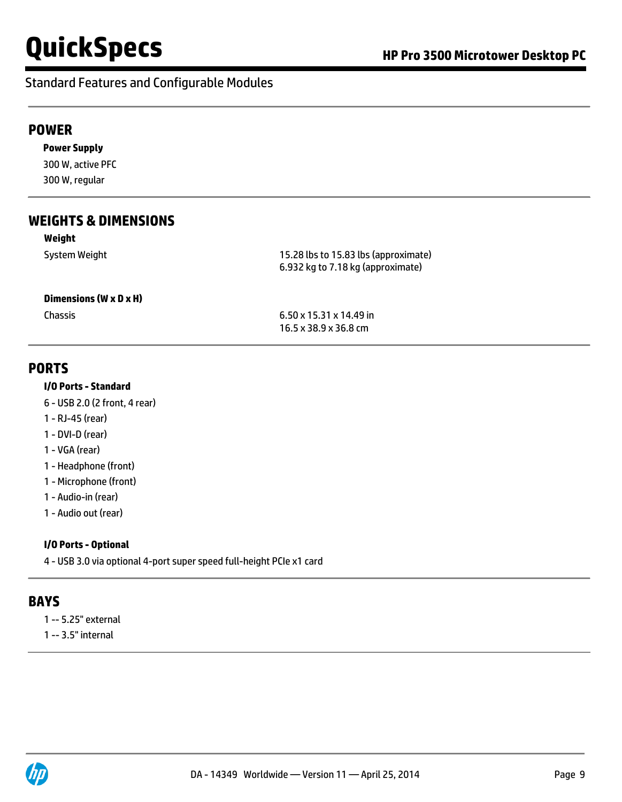## Standard Features and Configurable Modules

### **POWER**

**Power Supply** 300 W, active PFC 300 W, regular

## **WEIGHTS & DIMENSIONS**

#### **Weight**

System Weight 15.28 lbs to 15.83 lbs (approximate) 6.932 kg to 7.18 kg (approximate)

#### **Dimensions (W x D x H)**

Chassis 6.50 x 15.31 x 14.49 in 16.5 x 38.9 x 36.8 cm

### **PORTS**

#### **I/O Ports - Standard**

- 6 USB 2.0 (2 front, 4 rear)
- 1 RJ-45 (rear)
- 1 DVI-D (rear)
- 1 VGA (rear)
- 1 Headphone (front)
- 1 Microphone (front)
- 1 Audio-in (rear)
- 1 Audio out (rear)

#### **I/O Ports - Optional**

4 - USB 3.0 via optional 4-port super speed full-height PCIe x1 card

### **BAYS**

- 1 -- 5.25" external
- 1 -- 3.5" internal

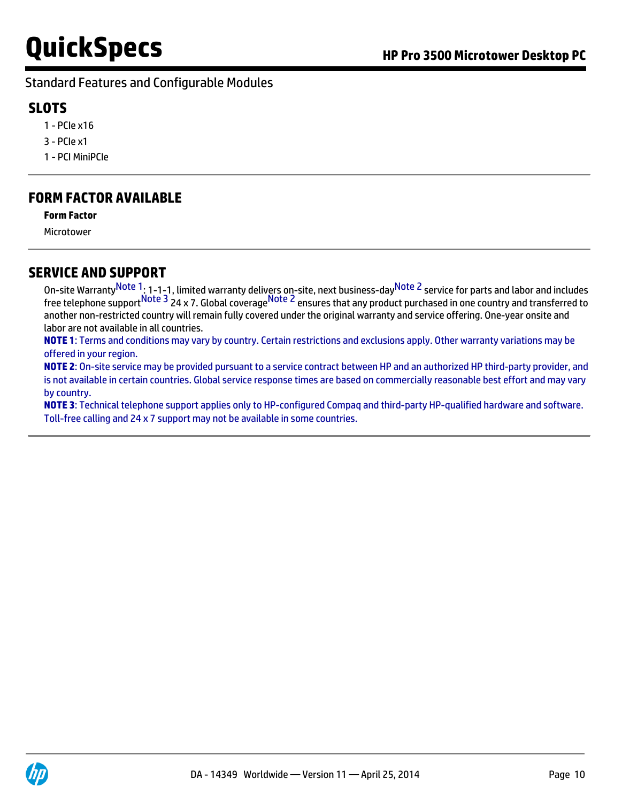## **SLOTS**

- 1 PCIe x16
- 3 PCIe x1
- 1 PCI MiniPCIe

## **FORM FACTOR AVAILABLE**

#### **Form Factor**

Microtower

## **SERVICE AND SUPPORT**

On-site Warranty<sup>Note 1</sup>: 1-1-1, limited warranty delivers on-site, next business-day<sup>Note 2</sup> service for parts and labor and includes free telephone support<sup>Note 3</sup> 24 x 7. Global coverage<sup>Note 2</sup> ensures that any product purchased in one country and transferred to another non-restricted country will remain fully covered under the original warranty and service offering. One-year onsite and labor are not available in all countries.

**NOTE 1**: Terms and conditions may vary by country. Certain restrictions and exclusions apply. Other warranty variations may be offered in your region.

**NOTE 2**: On-site service may be provided pursuant to a service contract between HP and an authorized HP third-party provider, and is not available in certain countries. Global service response times are based on commercially reasonable best effort and may vary by country.

**NOTE 3**: Technical telephone support applies only to HP-configured Compaq and third-party HP-qualified hardware and software. Toll-free calling and 24 x 7 support may not be available in some countries.

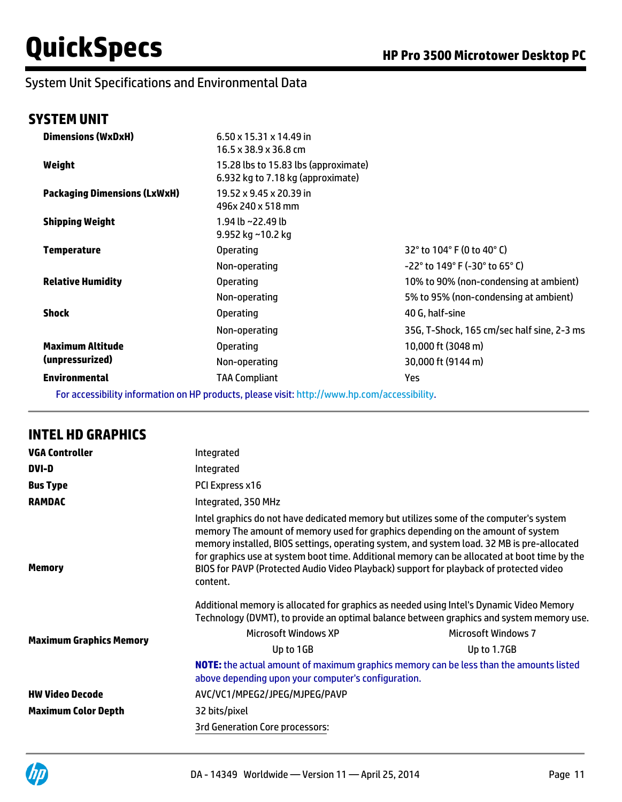## System Unit Specifications and Environmental Data

## **SYSTEM UNIT**

| <b>Dimensions (WxDxH)</b>           | $6.50 \times 15.31 \times 14.49$ in<br>16.5 x 38.9 x 36.8 cm              |                                            |
|-------------------------------------|---------------------------------------------------------------------------|--------------------------------------------|
| Weight                              | 15.28 lbs to 15.83 lbs (approximate)<br>6.932 kg to 7.18 kg (approximate) |                                            |
| <b>Packaging Dimensions (LxWxH)</b> | 19.52 x 9.45 x 20.39 in<br>496x 240 x 518 mm                              |                                            |
| <b>Shipping Weight</b>              | 1.94 lb ~22.49 lb<br>9.952 kg ~10.2 kg                                    |                                            |
| <b>Temperature</b>                  | <b>Operating</b>                                                          | 32° to 104° F (0 to 40° C)                 |
|                                     | Non-operating                                                             | $-22^{\circ}$ to 149° F (-30° to 65° C)    |
| <b>Relative Humidity</b>            | <b>Operating</b>                                                          | 10% to 90% (non-condensing at ambient)     |
|                                     | Non-operating                                                             | 5% to 95% (non-condensing at ambient)      |
| <b>Shock</b>                        | <b>Operating</b>                                                          | 40 G. half-sine                            |
|                                     | Non-operating                                                             | 35G, T-Shock, 165 cm/sec half sine, 2-3 ms |
| <b>Maximum Altitude</b>             | <b>Operating</b>                                                          | 10,000 ft (3048 m)                         |
| (unpressurized)                     | Non-operating                                                             | 30,000 ft (9144 m)                         |
| <b>Environmental</b>                | TAA Compliant                                                             | Yes                                        |

For accessibility information on HP products, please visit[: http://www.hp.com/accessibility](http://www.hp.com/accessibility).

### **INTEL HD GRAPHICS**

| <b>VGA Controller</b>          | Integrated                                                                                                                                                                                                                                                                                                                                                                                                                                                                    |                            |  |
|--------------------------------|-------------------------------------------------------------------------------------------------------------------------------------------------------------------------------------------------------------------------------------------------------------------------------------------------------------------------------------------------------------------------------------------------------------------------------------------------------------------------------|----------------------------|--|
| DVI-D                          | Integrated                                                                                                                                                                                                                                                                                                                                                                                                                                                                    |                            |  |
| <b>Bus Type</b>                | PCI Express x16                                                                                                                                                                                                                                                                                                                                                                                                                                                               |                            |  |
| <b>RAMDAC</b>                  | Integrated, 350 MHz                                                                                                                                                                                                                                                                                                                                                                                                                                                           |                            |  |
| Memory                         | Intel graphics do not have dedicated memory but utilizes some of the computer's system<br>memory The amount of memory used for graphics depending on the amount of system<br>memory installed, BIOS settings, operating system, and system load. 32 MB is pre-allocated<br>for graphics use at system boot time. Additional memory can be allocated at boot time by the<br>BIOS for PAVP (Protected Audio Video Playback) support for playback of protected video<br>content. |                            |  |
|                                | Additional memory is allocated for graphics as needed using Intel's Dynamic Video Memory<br>Technology (DVMT), to provide an optimal balance between graphics and system memory use.                                                                                                                                                                                                                                                                                          |                            |  |
|                                | <b>Microsoft Windows XP</b>                                                                                                                                                                                                                                                                                                                                                                                                                                                   | <b>Microsoft Windows 7</b> |  |
| <b>Maximum Graphics Memory</b> | Up to 1GB                                                                                                                                                                                                                                                                                                                                                                                                                                                                     | Up to 1.7GB                |  |
|                                | NOTE: the actual amount of maximum graphics memory can be less than the amounts listed<br>above depending upon your computer's configuration.                                                                                                                                                                                                                                                                                                                                 |                            |  |
| <b>HW Video Decode</b>         | AVC/VC1/MPEG2/JPEG/MJPEG/PAVP                                                                                                                                                                                                                                                                                                                                                                                                                                                 |                            |  |
| <b>Maximum Color Depth</b>     | 32 bits/pixel                                                                                                                                                                                                                                                                                                                                                                                                                                                                 |                            |  |
|                                | <b>3rd Generation Core processors:</b>                                                                                                                                                                                                                                                                                                                                                                                                                                        |                            |  |
|                                |                                                                                                                                                                                                                                                                                                                                                                                                                                                                               |                            |  |

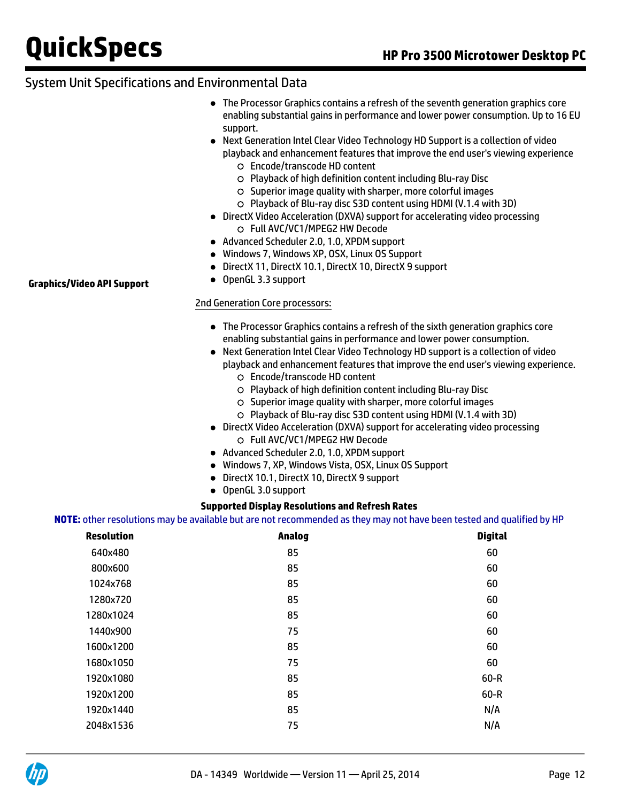## System Unit Specifications and Environmental Data

- The Processor Graphics contains a refresh of the seventh generation graphics core enabling substantial gains in performance and lower power consumption. Up to 16 EU support.
- Next Generation Intel Clear Video Technology HD Support is a collection of video playback and enhancement features that improve the end user's viewing experience
	- Encode/transcode HD content
	- Playback of high definition content including Blu-ray Disc
	- $\circ$  Superior image quality with sharper, more colorful images
	- Playback of Blu-ray disc S3D content using HDMI (V.1.4 with 3D)
- DirectX Video Acceleration (DXVA) support for accelerating video processing Full AVC/VC1/MPEG2 HW Decode
- Advanced Scheduler 2.0, 1.0, XPDM support
- Windows 7, Windows XP, OSX, Linux OS Support
- DirectX 11, DirectX 10.1, DirectX 10, DirectX 9 support
- OpenGL 3.3 support

#### 2nd Generation Core processors:

- The Processor Graphics contains a refresh of the sixth generation graphics core enabling substantial gains in performance and lower power consumption.
- Next Generation Intel Clear Video Technology HD support is a collection of video playback and enhancement features that improve the end user's viewing experience.
	- Encode/transcode HD content
	- Playback of high definition content including Blu-ray Disc
	- $\circ$  Superior image quality with sharper, more colorful images
	- Playback of Blu-ray disc S3D content using HDMI (V.1.4 with 3D)
- DirectX Video Acceleration (DXVA) support for accelerating video processing Full AVC/VC1/MPEG2 HW Decode
- Advanced Scheduler 2.0, 1.0, XPDM support
- Windows 7, XP, Windows Vista, OSX, Linux OS Support
- DirectX 10.1, DirectX 10, DirectX 9 support
- OpenGL 3.0 support

#### **Supported Display Resolutions and Refresh Rates**

#### **NOTE:** other resolutions may be available but are not recommended as they may not have been tested and qualified by HP

| <b>Resolution</b> | Analog | <b>Digital</b> |
|-------------------|--------|----------------|
| 640x480           | 85     | 60             |
| 800x600           | 85     | 60             |
| 1024x768          | 85     | 60             |
| 1280x720          | 85     | 60             |
| 1280x1024         | 85     | 60             |
| 1440×900          | 75     | 60             |
| 1600x1200         | 85     | 60             |
| 1680x1050         | 75     | 60             |
| 1920x1080         | 85     | 60-R           |
| 1920x1200         | 85     | $60-R$         |
| 1920x1440         | 85     | N/A            |
| 2048x1536         | 75     | N/A            |
|                   |        |                |

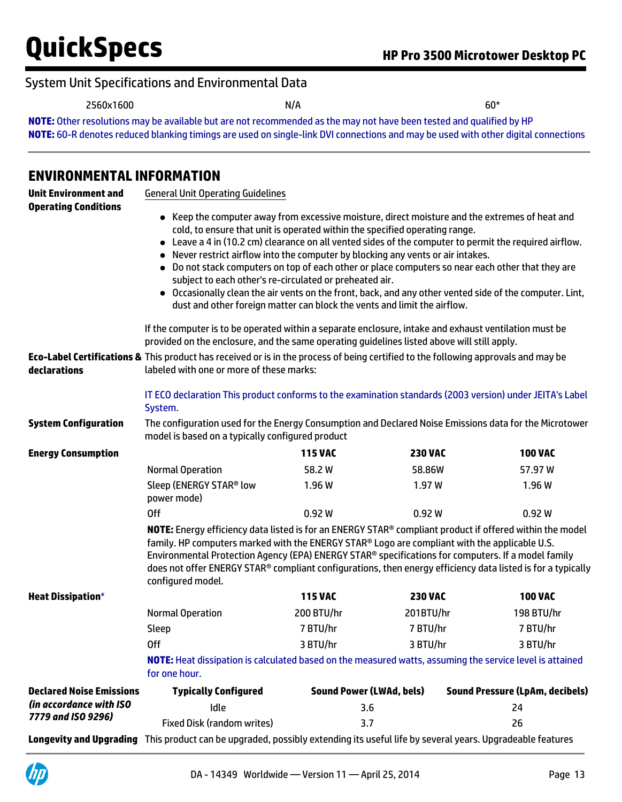## System Unit Specifications and Environmental Data

2560x1600 N/A 60\*

**NOTE:** Other resolutions may be available but are not recommended as the may not have been tested and qualified by HP **NOTE:** 60-R denotes reduced blanking timings are used on single-link DVI connections and may be used with other digital connections

## **ENVIRONMENTAL INFORMATION**

| <b>Unit Environment and</b><br><b>Operating Conditions</b> | <b>General Unit Operating Guidelines</b>                                                                                                                                                                                                                                                                                                                                                                                                                                                                                                                                                                                                                                                                                                                                                                                                                                                                                                                                                                                                                                                                                   |                                 |                |                                        |
|------------------------------------------------------------|----------------------------------------------------------------------------------------------------------------------------------------------------------------------------------------------------------------------------------------------------------------------------------------------------------------------------------------------------------------------------------------------------------------------------------------------------------------------------------------------------------------------------------------------------------------------------------------------------------------------------------------------------------------------------------------------------------------------------------------------------------------------------------------------------------------------------------------------------------------------------------------------------------------------------------------------------------------------------------------------------------------------------------------------------------------------------------------------------------------------------|---------------------------------|----------------|----------------------------------------|
| declarations                                               | • Keep the computer away from excessive moisture, direct moisture and the extremes of heat and<br>cold, to ensure that unit is operated within the specified operating range.<br>• Leave a 4 in (10.2 cm) clearance on all vented sides of the computer to permit the required airflow.<br>Never restrict airflow into the computer by blocking any vents or air intakes.<br>• Do not stack computers on top of each other or place computers so near each other that they are<br>subject to each other's re-circulated or preheated air.<br>• Occasionally clean the air vents on the front, back, and any other vented side of the computer. Lint,<br>dust and other foreign matter can block the vents and limit the airflow.<br>If the computer is to be operated within a separate enclosure, intake and exhaust ventilation must be<br>provided on the enclosure, and the same operating guidelines listed above will still apply.<br>Eco-Label Certifications & This product has received or is in the process of being certified to the following approvals and may be<br>labeled with one or more of these marks: |                                 |                |                                        |
|                                                            |                                                                                                                                                                                                                                                                                                                                                                                                                                                                                                                                                                                                                                                                                                                                                                                                                                                                                                                                                                                                                                                                                                                            |                                 |                |                                        |
|                                                            | IT ECO declaration This product conforms to the examination standards (2003 version) under JEITA's Label<br>System.                                                                                                                                                                                                                                                                                                                                                                                                                                                                                                                                                                                                                                                                                                                                                                                                                                                                                                                                                                                                        |                                 |                |                                        |
| <b>System Configuration</b>                                | The configuration used for the Energy Consumption and Declared Noise Emissions data for the Microtower<br>model is based on a typically configured product                                                                                                                                                                                                                                                                                                                                                                                                                                                                                                                                                                                                                                                                                                                                                                                                                                                                                                                                                                 |                                 |                |                                        |
| <b>Energy Consumption</b>                                  |                                                                                                                                                                                                                                                                                                                                                                                                                                                                                                                                                                                                                                                                                                                                                                                                                                                                                                                                                                                                                                                                                                                            | <b>115 VAC</b>                  | <b>230 VAC</b> | <b>100 VAC</b>                         |
|                                                            | <b>Normal Operation</b>                                                                                                                                                                                                                                                                                                                                                                                                                                                                                                                                                                                                                                                                                                                                                                                                                                                                                                                                                                                                                                                                                                    | 58.2W                           | 58.86W         | 57.97 W                                |
|                                                            | Sleep (ENERGY STAR® low<br>power mode)                                                                                                                                                                                                                                                                                                                                                                                                                                                                                                                                                                                                                                                                                                                                                                                                                                                                                                                                                                                                                                                                                     | 1.96W                           | 1.97W          | 1.96 W                                 |
|                                                            | <b>Off</b>                                                                                                                                                                                                                                                                                                                                                                                                                                                                                                                                                                                                                                                                                                                                                                                                                                                                                                                                                                                                                                                                                                                 | 0.92W                           | 0.92W          | 0.92 W                                 |
|                                                            | NOTE: Energy efficiency data listed is for an ENERGY STAR® compliant product if offered within the model<br>family. HP computers marked with the ENERGY STAR® Logo are compliant with the applicable U.S.<br>Environmental Protection Agency (EPA) ENERGY STAR® specifications for computers. If a model family<br>does not offer ENERGY STAR® compliant configurations, then energy efficiency data listed is for a typically<br>configured model.                                                                                                                                                                                                                                                                                                                                                                                                                                                                                                                                                                                                                                                                        |                                 |                |                                        |
| <b>Heat Dissipation*</b>                                   |                                                                                                                                                                                                                                                                                                                                                                                                                                                                                                                                                                                                                                                                                                                                                                                                                                                                                                                                                                                                                                                                                                                            | <b>115 VAC</b>                  | <b>230 VAC</b> | <b>100 VAC</b>                         |
|                                                            | <b>Normal Operation</b>                                                                                                                                                                                                                                                                                                                                                                                                                                                                                                                                                                                                                                                                                                                                                                                                                                                                                                                                                                                                                                                                                                    | 200 BTU/hr                      | 201BTU/hr      | 198 BTU/hr                             |
|                                                            | Sleep                                                                                                                                                                                                                                                                                                                                                                                                                                                                                                                                                                                                                                                                                                                                                                                                                                                                                                                                                                                                                                                                                                                      | 7 BTU/hr                        | 7 BTU/hr       | 7 BTU/hr                               |
|                                                            | <b>Off</b>                                                                                                                                                                                                                                                                                                                                                                                                                                                                                                                                                                                                                                                                                                                                                                                                                                                                                                                                                                                                                                                                                                                 | 3 BTU/hr                        | 3 BTU/hr       | 3 BTU/hr                               |
|                                                            | NOTE: Heat dissipation is calculated based on the measured watts, assuming the service level is attained<br>for one hour.                                                                                                                                                                                                                                                                                                                                                                                                                                                                                                                                                                                                                                                                                                                                                                                                                                                                                                                                                                                                  |                                 |                |                                        |
| <b>Declared Noise Emissions</b>                            | <b>Typically Configured</b>                                                                                                                                                                                                                                                                                                                                                                                                                                                                                                                                                                                                                                                                                                                                                                                                                                                                                                                                                                                                                                                                                                | <b>Sound Power (LWAd, bels)</b> |                | <b>Sound Pressure (LpAm, decibels)</b> |
| (in accordance with ISO<br>7779 and ISO 9296)              | Idle                                                                                                                                                                                                                                                                                                                                                                                                                                                                                                                                                                                                                                                                                                                                                                                                                                                                                                                                                                                                                                                                                                                       | 3.6                             |                | 24                                     |
|                                                            | <b>Fixed Disk (random writes)</b>                                                                                                                                                                                                                                                                                                                                                                                                                                                                                                                                                                                                                                                                                                                                                                                                                                                                                                                                                                                                                                                                                          | 3.7                             |                | 26                                     |
|                                                            | Longevity and Upgrading This product can be upgraded, possibly extending its useful life by several years. Upgradeable features                                                                                                                                                                                                                                                                                                                                                                                                                                                                                                                                                                                                                                                                                                                                                                                                                                                                                                                                                                                            |                                 |                |                                        |

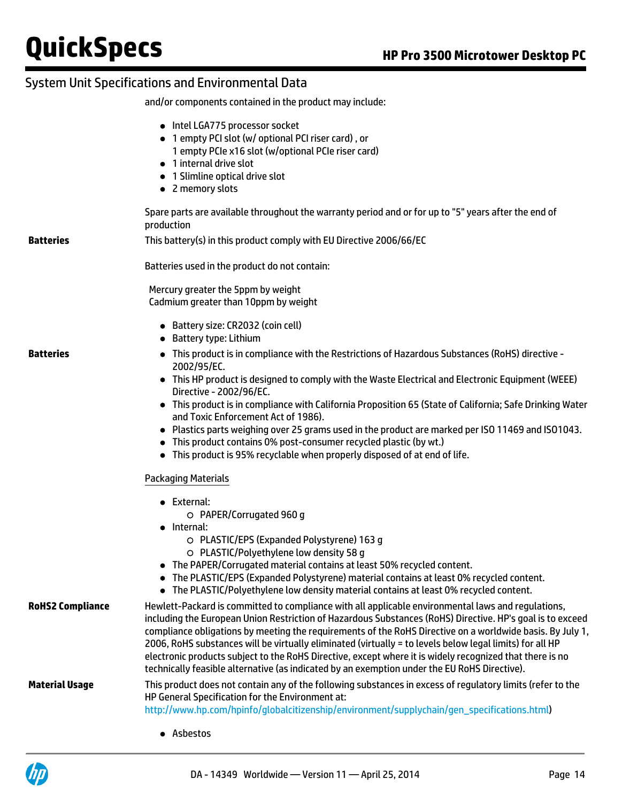## System Unit Specifications and Environmental Data

and/or components contained in the product may include:

|                         | • Intel LGA775 processor socket<br>• 1 empty PCI slot (w/ optional PCI riser card), or<br>1 empty PCIe x16 slot (w/optional PCIe riser card)<br>• 1 internal drive slot<br>• 1 Slimline optical drive slot<br>• 2 memory slots                                                                                                                                                                                                                                                                                                                                                                                                                       |
|-------------------------|------------------------------------------------------------------------------------------------------------------------------------------------------------------------------------------------------------------------------------------------------------------------------------------------------------------------------------------------------------------------------------------------------------------------------------------------------------------------------------------------------------------------------------------------------------------------------------------------------------------------------------------------------|
|                         | Spare parts are available throughout the warranty period and or for up to "5" years after the end of<br>production                                                                                                                                                                                                                                                                                                                                                                                                                                                                                                                                   |
| <b>Batteries</b>        | This battery(s) in this product comply with EU Directive 2006/66/EC                                                                                                                                                                                                                                                                                                                                                                                                                                                                                                                                                                                  |
|                         | Batteries used in the product do not contain:                                                                                                                                                                                                                                                                                                                                                                                                                                                                                                                                                                                                        |
|                         | Mercury greater the 5ppm by weight<br>Cadmium greater than 10ppm by weight                                                                                                                                                                                                                                                                                                                                                                                                                                                                                                                                                                           |
|                         | • Battery size: CR2032 (coin cell)<br>• Battery type: Lithium                                                                                                                                                                                                                                                                                                                                                                                                                                                                                                                                                                                        |
| <b>Batteries</b>        | • This product is in compliance with the Restrictions of Hazardous Substances (RoHS) directive -<br>2002/95/EC.                                                                                                                                                                                                                                                                                                                                                                                                                                                                                                                                      |
|                         | • This HP product is designed to comply with the Waste Electrical and Electronic Equipment (WEEE)<br>Directive - 2002/96/EC.                                                                                                                                                                                                                                                                                                                                                                                                                                                                                                                         |
|                         | • This product is in compliance with California Proposition 65 (State of California; Safe Drinking Water<br>and Toxic Enforcement Act of 1986).                                                                                                                                                                                                                                                                                                                                                                                                                                                                                                      |
|                         | • Plastics parts weighing over 25 grams used in the product are marked per ISO 11469 and ISO1043.                                                                                                                                                                                                                                                                                                                                                                                                                                                                                                                                                    |
|                         | • This product contains 0% post-consumer recycled plastic (by wt.)<br>• This product is 95% recyclable when properly disposed of at end of life.                                                                                                                                                                                                                                                                                                                                                                                                                                                                                                     |
|                         | <b>Packaging Materials</b>                                                                                                                                                                                                                                                                                                                                                                                                                                                                                                                                                                                                                           |
|                         | $\bullet$ External:                                                                                                                                                                                                                                                                                                                                                                                                                                                                                                                                                                                                                                  |
|                         | O PAPER/Corrugated 960 g<br>• Internal:                                                                                                                                                                                                                                                                                                                                                                                                                                                                                                                                                                                                              |
|                         | O PLASTIC/EPS (Expanded Polystyrene) 163 q<br>O PLASTIC/Polyethylene low density 58 g                                                                                                                                                                                                                                                                                                                                                                                                                                                                                                                                                                |
|                         | • The PAPER/Corrugated material contains at least 50% recycled content.                                                                                                                                                                                                                                                                                                                                                                                                                                                                                                                                                                              |
|                         | The PLASTIC/EPS (Expanded Polystyrene) material contains at least 0% recycled content.<br>• The PLASTIC/Polyethylene low density material contains at least 0% recycled content.                                                                                                                                                                                                                                                                                                                                                                                                                                                                     |
| <b>RoHS2 Compliance</b> | Hewlett-Packard is committed to compliance with all applicable environmental laws and regulations,<br>including the European Union Restriction of Hazardous Substances (RoHS) Directive. HP's goal is to exceed<br>compliance obligations by meeting the requirements of the RoHS Directive on a worldwide basis. By July 1,<br>2006, RoHS substances will be virtually eliminated (virtually = to levels below legal limits) for all HP<br>electronic products subject to the RoHS Directive, except where it is widely recognized that there is no<br>technically feasible alternative (as indicated by an exemption under the EU RoHS Directive). |
| <b>Material Usage</b>   | This product does not contain any of the following substances in excess of regulatory limits (refer to the<br>HP General Specification for the Environment at:                                                                                                                                                                                                                                                                                                                                                                                                                                                                                       |

[http://www.hp.com/hpinfo/globalcitizenship/environment/supplychain/gen\\_specifications.html\)](http://www.hp.com/hpinfo/globalcitizenship/environment/)

Asbestos

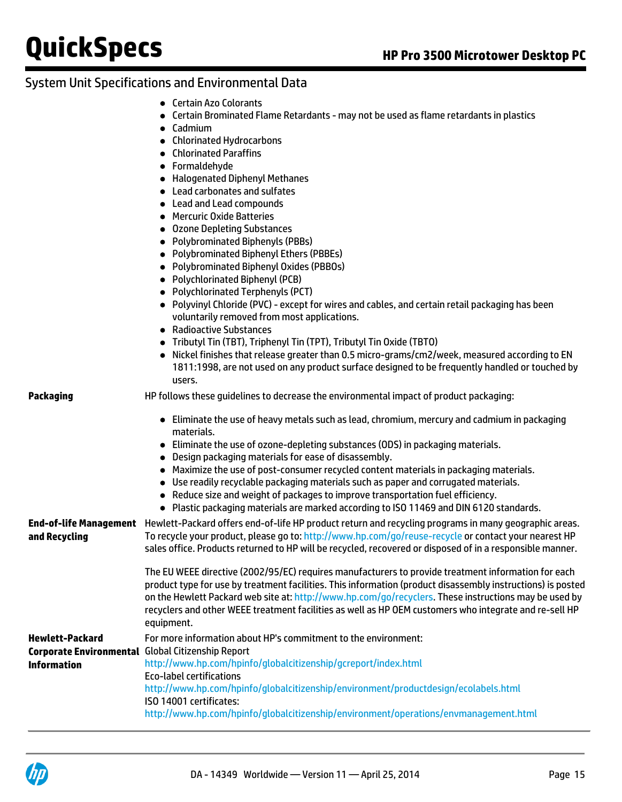## System Unit Specifications and Environmental Data

- Certain Azo Colorants
- Certain Brominated Flame Retardants may not be used as flame retardants in plastics
- Cadmium
- Chlorinated Hydrocarbons
- Chlorinated Paraffins
- **•** Formaldehyde
- Halogenated Diphenyl Methanes
- Lead carbonates and sulfates
- Lead and Lead compounds
- **Mercuric Oxide Batteries**
- Ozone Depleting Substances
- Polybrominated Biphenyls (PBBs)
- Polybrominated Biphenyl Ethers (PBBEs)
- Polybrominated Biphenyl Oxides (PBBOs)
- Polychlorinated Biphenyl (PCB)
- Polychlorinated Terphenyls (PCT)
- Polyvinyl Chloride (PVC) except for wires and cables, and certain retail packaging has been voluntarily removed from most applications.
- Radioactive Substances
- Tributyl Tin (TBT), Triphenyl Tin (TPT), Tributyl Tin Oxide (TBTO)
- Nickel finishes that release greater than 0.5 micro-grams/cm2/week, measured according to EN 1811:1998, are not used on any product surface designed to be frequently handled or touched by users.

**Packaging** HP follows these guidelines to decrease the environmental impact of product packaging:

- Eliminate the use of heavy metals such as lead, chromium, mercury and cadmium in packaging materials.
- Eliminate the use of ozone-depleting substances (ODS) in packaging materials.
- Design packaging materials for ease of disassembly.
- Maximize the use of post-consumer recycled content materials in packaging materials.
- Use readily recyclable packaging materials such as paper and corrugated materials.
- Reduce size and weight of packages to improve transportation fuel efficiency.
- Plastic packaging materials are marked according to ISO 11469 and DIN 6120 standards.

**End-of-life Management** Hewlett-Packard offers end-of-life HP product return and recycling programs in many geographic areas. **and Recycling** To recycle your product, please go to: <http://www.hp.com/go/reuse-recycle> or contact your nearest HP sales office. Products returned to HP will be recycled, recovered or disposed of in a responsible manner. The EU WEEE directive (2002/95/EC) requires manufacturers to provide treatment information for each

product type for use by treatment facilities. This information (product disassembly instructions) is posted on the Hewlett Packard web site at:<http://www.hp.com/go/recyclers>. These instructions may be used by recyclers and other WEEE treatment facilities as well as HP OEM customers who integrate and re-sell HP equipment.

```
Hewlett-Packard
Corporate Environmental
Global Citizenship Report
Information
                          For more information about HP's commitment to the environment:
                          http://www.hp.com/hpinfo/globalcitizenship/gcreport/index.html
                          Eco-label certifications
                          http://www.hp.com/hpinfo/globalcitizenship/environment/productdesign/ecolabels.html
                          ISO 14001 certificates:
                          http://www.hp.com/hpinfo/globalcitizenship/environment/operations/envmanagement.html
```